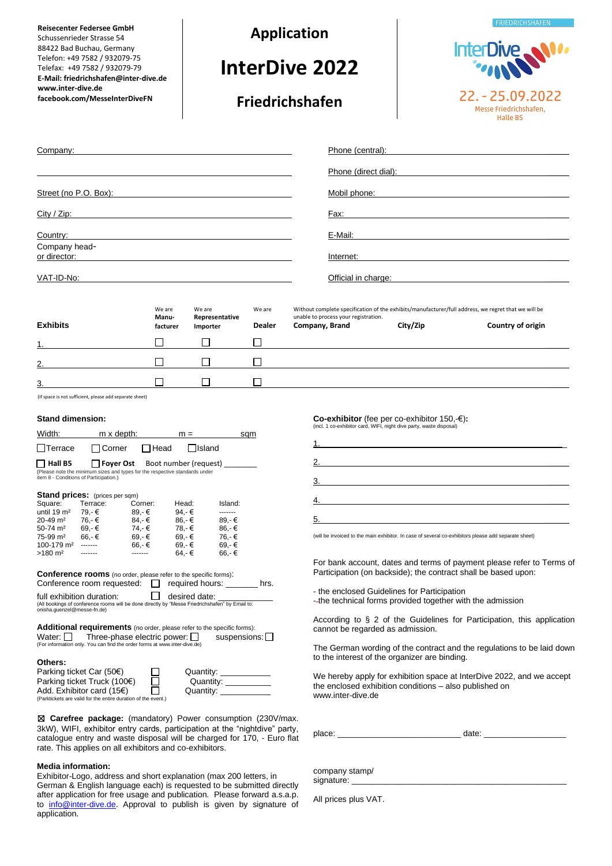**Reisecenter Federsee GmbH** Schussenrieder Strasse 54 88422 Bad Buchau, Germany Telefon: +49 7582 / 932079-75 Telefax: +49 7582 / 932079-79 **E-Mail: friedrichshafen@inter-dive.de www.inter-dive.de facebook.com/MesseInterDiveFN**

**Application**

**InterDive 2022**

**Friedrichshafen**

InterDive 22. - 25.09.2022

**EDIENDICHSHAEEN** 

Messe Friedrichshafen, **Halle B5** 

| Company:                      | Phone (central):     |  |
|-------------------------------|----------------------|--|
|                               | Phone (direct dial): |  |
| Street (no P.O. Box):         | Mobil phone:         |  |
| City / Zip:                   | Fax:                 |  |
| Country:                      | E-Mail:              |  |
| Company head-<br>or director: | Internet:            |  |
| VAT-ID-No:                    | Official in charge:  |  |
|                               |                      |  |

|                 | We are<br>Manu- | We are<br>Representative | We are        | Without complete specification of the exhibits/manufacturer/full address, we regret that we will be<br>unable to process your registration. |          |                   |
|-----------------|-----------------|--------------------------|---------------|---------------------------------------------------------------------------------------------------------------------------------------------|----------|-------------------|
| <b>Exhibits</b> | facturer        | Importer                 | <b>Dealer</b> | Company, Brand                                                                                                                              | City/Zip | Country of origin |
|                 |                 |                          |               |                                                                                                                                             |          |                   |
| 2.              |                 |                          |               |                                                                                                                                             |          |                   |
| 3.              |                 |                          |               |                                                                                                                                             |          |                   |

(If space is not sufficient, please add separate sheet)

## **Stand dimension:**

| Width:                      | m x depth:                                                                                                                                                                                        |         | $m =$                               | sqm             |      |
|-----------------------------|---------------------------------------------------------------------------------------------------------------------------------------------------------------------------------------------------|---------|-------------------------------------|-----------------|------|
| Terrace                     | Corner                                                                                                                                                                                            | Head    | <b>IIsland</b>                      |                 |      |
| Hall B5                     | Foyer Ost<br>(Please note the minimum sizes and types for the respective standards under<br>item 8 - Conditions of Participation.)                                                                |         | Boot number (request)               |                 |      |
|                             | <b>Stand prices:</b> (prices per sqm)                                                                                                                                                             |         |                                     |                 |      |
| Square:                     | Terrace:                                                                                                                                                                                          | Corner: | Head:                               | Island:         |      |
| until 19 $m2$               | 79.-€                                                                                                                                                                                             | 89.-€   | 94.-€                               | -------         |      |
| 20-49 m <sup>2</sup>        | 76.-€                                                                                                                                                                                             | 84.-€   | 86.-€                               | 89.-€           |      |
| 50-74 m <sup>2</sup>        | 69,-€                                                                                                                                                                                             | 74,-€   | 78,-€                               | 86,-€           |      |
| 75-99 m <sup>2</sup>        | 66,-€                                                                                                                                                                                             | 69.-€   | 69,-€                               | 76.-€           |      |
| 100-179 m <sup>2</sup>      | -------                                                                                                                                                                                           | 66,-€   | $69 - €$                            | 69,-€           |      |
| $>180 \text{ m}^2$          |                                                                                                                                                                                                   | .       | 64.-€                               | 66.-€           |      |
|                             | <b>Conference rooms</b> (no order, please refer to the specific forms):<br>Conference room requested:                                                                                             |         |                                     | required hours: | hrs. |
| onisha.quenzel@messe-fn.de) | full exhibition duration:<br>(All bookings of conference rooms will be done directly by "Messe Friedrichshafen" by Email to:                                                                      |         | desired date:                       |                 |      |
| Water: I                    | <b>Additional requirements</b> (no order, please refer to the specific forms):<br>Three-phase electric power: $\Box$<br>(For information only. You can find the order forms at www.inter-dive.de) |         |                                     | suspensions:    |      |
| Others:                     | Dorking tiokot Cor (EOC)                                                                                                                                                                          |         | $\bigcap \mathsf{rank}(\mathsf{H})$ |                 |      |

| Parking ticket Car $(50\epsilon)$                             | Quantity: |
|---------------------------------------------------------------|-----------|
| Parking ticket Truck (100€)                                   | Quantity: |
| Add. Exhibitor card $(15)$                                    | Quantity: |
| (Parktickets are valid for the entire duration of the event.) |           |

☒ **Carefree package:** (mandatory) Power consumption (230V/max. 3kW), WIFI, exhibitor entry cards, participation at the "nightdive" party, catalogue entry and waste disposal will be charged for 170, - Euro flat rate. This applies on all exhibitors and co-exhibitors.

#### **Media information:**

Exhibitor-Logo, address and short explanation (max 200 letters, in German & English language each) is requested to be submitted directly after application for free usage and publication. Please forward a.s.a.p. to info@inter-dive.de</u>. Approval to publish is given by signature of application.

**Co-exhibitor** (fee per co-exhibitor 150,–€):<br>(incl. 1 co-exhibitor card, WIFI, night dive party, waste disposal)

| <u>1. __________________________</u> |  |
|--------------------------------------|--|
| 2.                                   |  |
| 3.                                   |  |
|                                      |  |
| 5.                                   |  |

(will be invoiced to the main exhibitor. In case of several co-exhibitors please add separate sheet)

For bank account, dates and terms of payment please refer to Terms of Participation (on backside); the contract shall be based upon:

- the enclosed Guidelines for Participation

-- the technical forms provided together with the admission

According to § 2 of the Guidelines for Participation, this application cannot be regarded as admission.

The German wording of the contract and the regulations to be laid down to the interest of the organizer are binding.

We hereby apply for exhibition space at InterDive 2022, and we accept the enclosed exhibition conditions – also published on www.inter-dive.de

place: \_\_\_\_\_\_\_\_\_\_\_\_\_\_\_\_\_\_\_\_\_\_\_\_\_\_\_ date: \_\_\_\_\_\_\_\_\_\_\_\_\_\_\_\_\_\_

company stamp/ signature:

All prices plus VAT.